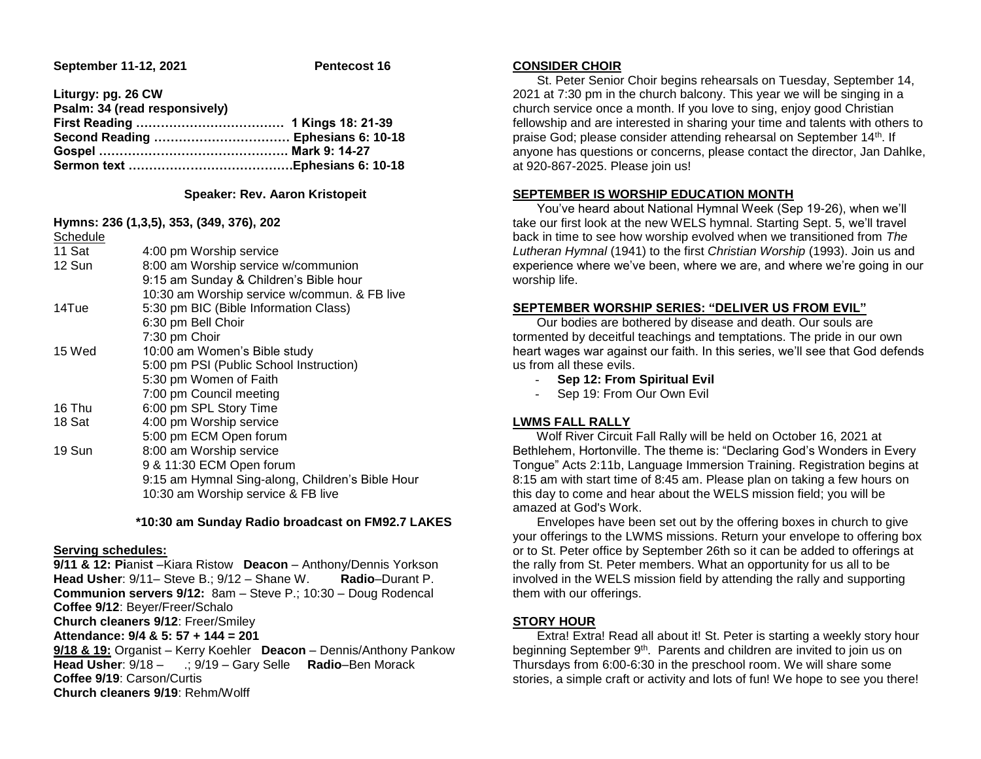**September 11-12, 2021 Pentecost 16** 

**Liturgy: pg. 26 CW**

| Psalm: 34 (read responsively) |  |
|-------------------------------|--|
|                               |  |
|                               |  |
|                               |  |
|                               |  |

### **Speaker: Rev. Aaron Kristopeit**

### **Hymns: 236 (1,3,5), 353, (349, 376), 202**

| Schedule |                                                  |
|----------|--------------------------------------------------|
| 11 Sat   | 4:00 pm Worship service                          |
| 12 Sun   | 8:00 am Worship service w/communion              |
|          | 9:15 am Sunday & Children's Bible hour           |
|          | 10:30 am Worship service w/commun. & FB live     |
| 14Tue    | 5:30 pm BIC (Bible Information Class)            |
|          | 6:30 pm Bell Choir                               |
|          | 7:30 pm Choir                                    |
| 15 Wed   | 10:00 am Women's Bible study                     |
|          | 5:00 pm PSI (Public School Instruction)          |
|          | 5:30 pm Women of Faith                           |
|          | 7:00 pm Council meeting                          |
| 16 Thu   | 6:00 pm SPL Story Time                           |
| 18 Sat   | 4:00 pm Worship service                          |
|          | 5:00 pm ECM Open forum                           |
| 19 Sun   | 8:00 am Worship service                          |
|          | 9 & 11:30 ECM Open forum                         |
|          | 9:15 am Hymnal Sing-along, Children's Bible Hour |
|          | 10:30 am Worship service & FB live               |
|          |                                                  |

### **\*10:30 am Sunday Radio broadcast on FM92.7 LAKES**

### **Serving schedules:**

**9/11 & 12: Pi**anis**t** –Kiara Ristow **Deacon** – Anthony/Dennis Yorkson **Head Usher**: 9/11– Steve B.; 9/12 – Shane W. **Radio**–Durant P. **Communion servers 9/12:** 8am – Steve P.; 10:30 – Doug Rodencal **Coffee 9/12**: Beyer/Freer/Schalo **Church cleaners 9/12**: Freer/Smiley **Attendance: 9/4 & 5: 57 + 144 = 201 9/18 & 19:** Organist – Kerry Koehler **Deacon** – Dennis/Anthony Pankow

**Head Usher**: 9/18 – .; 9/19 – Gary Selle **Radio**–Ben Morack **Coffee 9/19**: Carson/Curtis **Church cleaners 9/19**: Rehm/Wolff

# **CONSIDER CHOIR**

 St. Peter Senior Choir begins rehearsals on Tuesday, September 14, 2021 at 7:30 pm in the church balcony. This year we will be singing in a church service once a month. If you love to sing, enjoy good Christian fellowship and are interested in sharing your time and talents with others to praise God; please consider attending rehearsal on September 14th. If anyone has questions or concerns, please contact the director, Jan Dahlke, at 920-867-2025. Please join us!

# **SEPTEMBER IS WORSHIP EDUCATION MONTH**

 You've heard about National Hymnal Week (Sep 19-26), when we'll take our first look at the new WELS hymnal. Starting Sept. 5, we'll travel back in time to see how worship evolved when we transitioned from *The Lutheran Hymnal* (1941) to the first *Christian Worship* (1993). Join us and experience where we've been, where we are, and where we're going in our worship life.

## **SEPTEMBER WORSHIP SERIES: "DELIVER US FROM EVIL"**

 Our bodies are bothered by disease and death. Our souls are tormented by deceitful teachings and temptations. The pride in our own heart wages war against our faith. In this series, we'll see that God defends us from all these evils.

- **Sep 12: From Spiritual Evil**
- Sep 19: From Our Own Evil

## **LWMS FALL RALLY**

 Wolf River Circuit Fall Rally will be held on October 16, 2021 at Bethlehem, Hortonville. The theme is: "Declaring God's Wonders in Every Tongue" Acts 2:11b, Language Immersion Training. Registration begins at 8:15 am with start time of 8:45 am. Please plan on taking a few hours on this day to come and hear about the WELS mission field; you will be amazed at God's Work.

 Envelopes have been set out by the offering boxes in church to give your offerings to the LWMS missions. Return your envelope to offering box or to St. Peter office by September 26th so it can be added to offerings at the rally from St. Peter members. What an opportunity for us all to be involved in the WELS mission field by attending the rally and supporting them with our offerings.

## **STORY HOUR**

 Extra! Extra! Read all about it! St. Peter is starting a weekly story hour beginning September 9<sup>th</sup>. Parents and children are invited to join us on Thursdays from 6:00-6:30 in the preschool room. We will share some stories, a simple craft or activity and lots of fun! We hope to see you there!